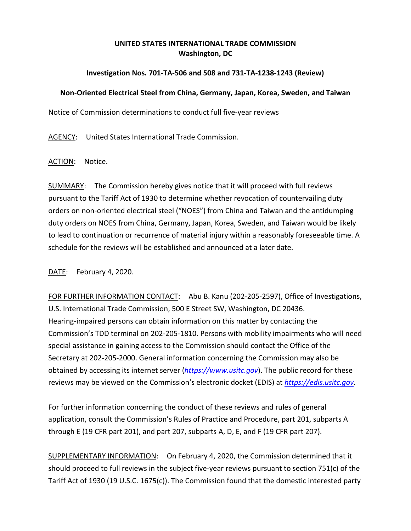## **UNITED STATES INTERNATIONAL TRADE COMMISSION Washington, DC**

## **Investigation Nos. 701-TA-506 and 508 and 731-TA-1238-1243 (Review)**

## **Non-Oriented Electrical Steel from China, Germany, Japan, Korea, Sweden, and Taiwan**

Notice of Commission determinations to conduct full five-year reviews

AGENCY: United States International Trade Commission.

ACTION: Notice.

SUMMARY: The Commission hereby gives notice that it will proceed with full reviews pursuant to the Tariff Act of 1930 to determine whether revocation of countervailing duty orders on non-oriented electrical steel ("NOES") from China and Taiwan and the antidumping duty orders on NOES from China, Germany, Japan, Korea, Sweden, and Taiwan would be likely to lead to continuation or recurrence of material injury within a reasonably foreseeable time. A schedule for the reviews will be established and announced at a later date.

DATE: February 4, 2020.

FOR FURTHER INFORMATION CONTACT: Abu B. Kanu (202-205-2597), Office of Investigations, U.S. International Trade Commission, 500 E Street SW, Washington, DC 20436. Hearing-impaired persons can obtain information on this matter by contacting the Commission's TDD terminal on 202-205-1810. Persons with mobility impairments who will need special assistance in gaining access to the Commission should contact the Office of the Secretary at 202-205-2000. General information concerning the Commission may also be obtained by accessing its internet server (*[https://www.usitc.gov](https://www.usitc.gov/)*). The public record for these reviews may be viewed on the Commission's electronic docket (EDIS) at *[https://edis.usitc.gov](https://edis.usitc.gov/)*.

For further information concerning the conduct of these reviews and rules of general application, consult the Commission's Rules of Practice and Procedure, part 201, subparts A through E (19 CFR part 201), and part 207, subparts A, D, E, and F (19 CFR part 207).

SUPPLEMENTARY INFORMATION: On February 4, 2020, the Commission determined that it should proceed to full reviews in the subject five-year reviews pursuant to section 751(c) of the Tariff Act of 1930 (19 U.S.C. 1675(c)). The Commission found that the domestic interested party